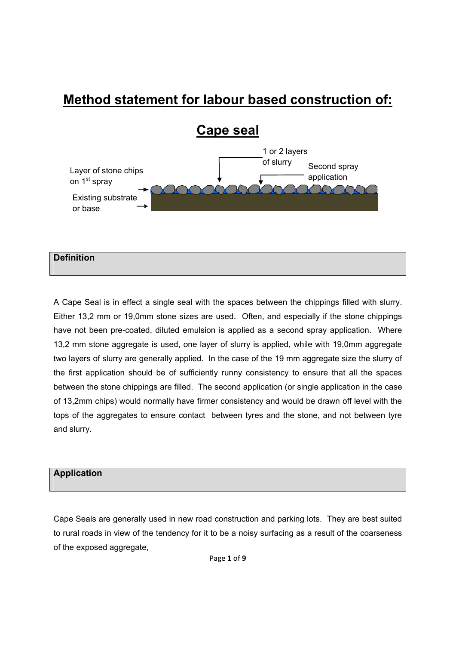# **Method statement for labour based construction of:**



# **Definition**

A Cape Seal is in effect a single seal with the spaces between the chippings filled with slurry. Either 13,2 mm or 19,0mm stone sizes are used. Often, and especially if the stone chippings have not been pre-coated, diluted emulsion is applied as a second spray application. Where 13,2 mm stone aggregate is used, one layer of slurry is applied, while with 19,0mm aggregate two layers of slurry are generally applied. In the case of the 19 mm aggregate size the slurry of the first application should be of sufficiently runny consistency to ensure that all the spaces between the stone chippings are filled. The second application (or single application in the case of 13,2mm chips) would normally have firmer consistency and would be drawn off level with the tops of the aggregates to ensure contact between tyres and the stone, and not between tyre and slurry.

# **Application**

Cape Seals are generally used in new road construction and parking lots. They are best suited to rural roads in view of the tendency for it to be a noisy surfacing as a result of the coarseness of the exposed aggregate,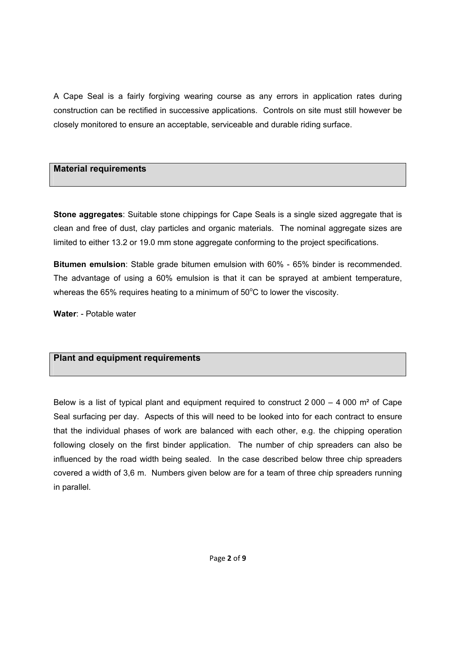A Cape Seal is a fairly forgiving wearing course as any errors in application rates during construction can be rectified in successive applications. Controls on site must still however be closely monitored to ensure an acceptable, serviceable and durable riding surface.

#### **Material requirements**

**Stone aggregates**: Suitable stone chippings for Cape Seals is a single sized aggregate that is clean and free of dust, clay particles and organic materials. The nominal aggregate sizes are limited to either 13.2 or 19.0 mm stone aggregate conforming to the project specifications.

**Bitumen emulsion**: Stable grade bitumen emulsion with 60% - 65% binder is recommended. The advantage of using a 60% emulsion is that it can be sprayed at ambient temperature, whereas the 65% requires heating to a minimum of  $50^{\circ}$ C to lower the viscosity.

**Water**: - Potable water

# **Plant and equipment requirements**

Below is a list of typical plant and equipment required to construct  $2000 - 4000$  m<sup>2</sup> of Cape Seal surfacing per day. Aspects of this will need to be looked into for each contract to ensure that the individual phases of work are balanced with each other, e.g. the chipping operation following closely on the first binder application. The number of chip spreaders can also be influenced by the road width being sealed. In the case described below three chip spreaders covered a width of 3,6 m. Numbers given below are for a team of three chip spreaders running in parallel.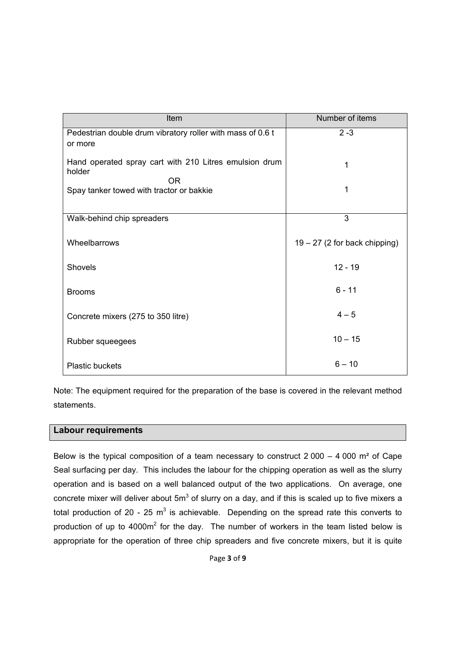| Item                                                                    | Number of items                 |
|-------------------------------------------------------------------------|---------------------------------|
| Pedestrian double drum vibratory roller with mass of 0.6 t<br>or more   | $2 - 3$                         |
| Hand operated spray cart with 210 Litres emulsion drum<br>holder<br>OR. | 1                               |
| Spay tanker towed with tractor or bakkie                                | 1                               |
| Walk-behind chip spreaders                                              | 3                               |
| Wheelbarrows                                                            | $19 - 27$ (2 for back chipping) |
| Shovels                                                                 | $12 - 19$                       |
| <b>Brooms</b>                                                           | $6 - 11$                        |
| Concrete mixers (275 to 350 litre)                                      | $4 - 5$                         |
| Rubber squeegees                                                        | $10 - 15$                       |
| <b>Plastic buckets</b>                                                  | $6 - 10$                        |

Note: The equipment required for the preparation of the base is covered in the relevant method statements.

# **Labour requirements**

Below is the typical composition of a team necessary to construct  $2000 - 4000$  m<sup>2</sup> of Cape Seal surfacing per day. This includes the labour for the chipping operation as well as the slurry operation and is based on a well balanced output of the two applications. On average, one concrete mixer will deliver about  $5m<sup>3</sup>$  of slurry on a day, and if this is scaled up to five mixers a total production of 20 - 25  $m^3$  is achievable. Depending on the spread rate this converts to production of up to  $4000m^2$  for the day. The number of workers in the team listed below is appropriate for the operation of three chip spreaders and five concrete mixers, but it is quite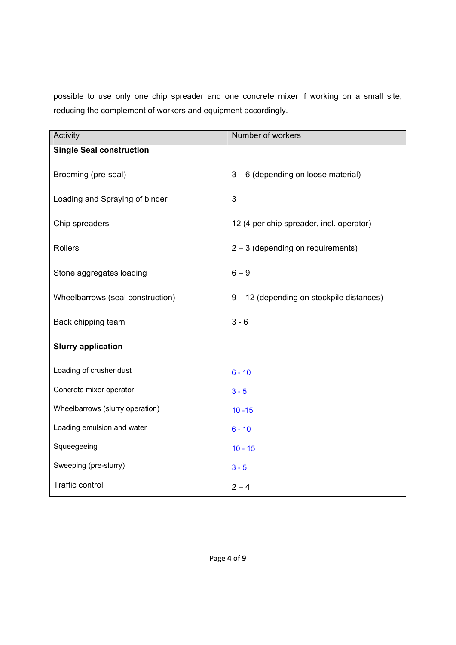possible to use only one chip spreader and one concrete mixer if working on a small site, reducing the complement of workers and equipment accordingly.

| Activity                         | Number of workers                         |
|----------------------------------|-------------------------------------------|
| <b>Single Seal construction</b>  |                                           |
| Brooming (pre-seal)              | 3 - 6 (depending on loose material)       |
| Loading and Spraying of binder   | $\mathbf{3}$                              |
| Chip spreaders                   | 12 (4 per chip spreader, incl. operator)  |
| <b>Rollers</b>                   | $2 - 3$ (depending on requirements)       |
| Stone aggregates loading         | $6 - 9$                                   |
| Wheelbarrows (seal construction) | 9 – 12 (depending on stockpile distances) |
| Back chipping team               | $3 - 6$                                   |
| <b>Slurry application</b>        |                                           |
| Loading of crusher dust          | $6 - 10$                                  |
| Concrete mixer operator          | $3 - 5$                                   |
| Wheelbarrows (slurry operation)  | $10 - 15$                                 |
| Loading emulsion and water       | $6 - 10$                                  |
| Squeegeeing                      | $10 - 15$                                 |
| Sweeping (pre-slurry)            | $3 - 5$                                   |
| <b>Traffic control</b>           | $2 - 4$                                   |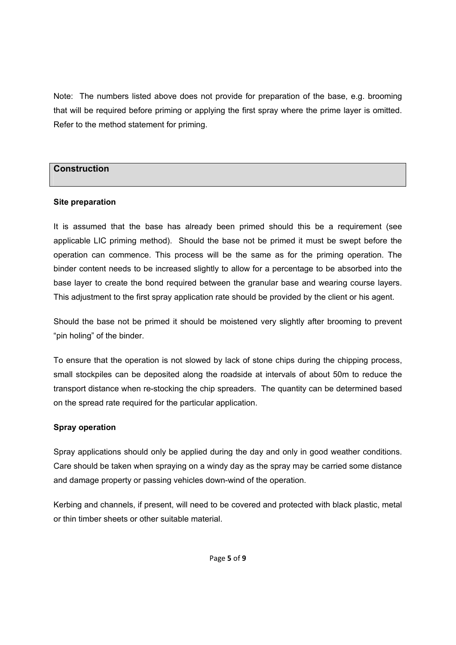Note: The numbers listed above does not provide for preparation of the base, e.g. brooming that will be required before priming or applying the first spray where the prime layer is omitted. Refer to the method statement for priming.

# **Construction**

#### **Site preparation**

It is assumed that the base has already been primed should this be a requirement (see applicable LIC priming method). Should the base not be primed it must be swept before the operation can commence. This process will be the same as for the priming operation. The binder content needs to be increased slightly to allow for a percentage to be absorbed into the base layer to create the bond required between the granular base and wearing course layers. This adjustment to the first spray application rate should be provided by the client or his agent.

Should the base not be primed it should be moistened very slightly after brooming to prevent "pin holing" of the binder.

To ensure that the operation is not slowed by lack of stone chips during the chipping process, small stockpiles can be deposited along the roadside at intervals of about 50m to reduce the transport distance when re-stocking the chip spreaders. The quantity can be determined based on the spread rate required for the particular application.

#### **Spray operation**

Spray applications should only be applied during the day and only in good weather conditions. Care should be taken when spraying on a windy day as the spray may be carried some distance and damage property or passing vehicles down-wind of the operation.

Kerbing and channels, if present, will need to be covered and protected with black plastic, metal or thin timber sheets or other suitable material.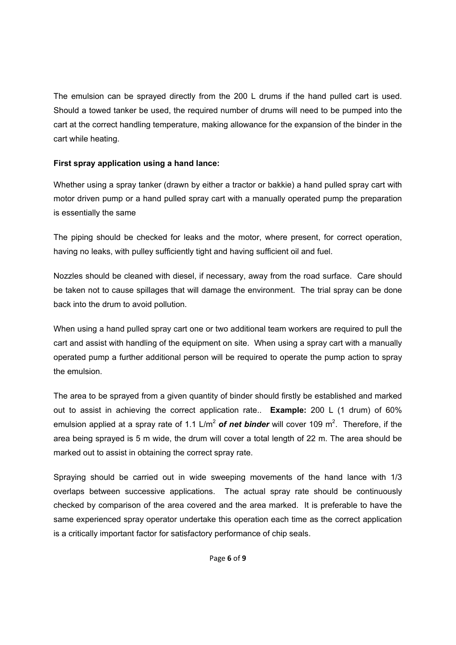The emulsion can be sprayed directly from the 200 L drums if the hand pulled cart is used. Should a towed tanker be used, the required number of drums will need to be pumped into the cart at the correct handling temperature, making allowance for the expansion of the binder in the cart while heating.

#### **First spray application using a hand lance:**

Whether using a spray tanker (drawn by either a tractor or bakkie) a hand pulled spray cart with motor driven pump or a hand pulled spray cart with a manually operated pump the preparation is essentially the same

The piping should be checked for leaks and the motor, where present, for correct operation, having no leaks, with pulley sufficiently tight and having sufficient oil and fuel.

Nozzles should be cleaned with diesel, if necessary, away from the road surface. Care should be taken not to cause spillages that will damage the environment. The trial spray can be done back into the drum to avoid pollution.

When using a hand pulled spray cart one or two additional team workers are required to pull the cart and assist with handling of the equipment on site. When using a spray cart with a manually operated pump a further additional person will be required to operate the pump action to spray the emulsion.

The area to be sprayed from a given quantity of binder should firstly be established and marked out to assist in achieving the correct application rate.. **Example:** 200 L (1 drum) of 60% emulsion applied at a spray rate of 1.1 L/m<sup>2</sup> of net binder will cover 109 m<sup>2</sup>. Therefore, if the area being sprayed is 5 m wide, the drum will cover a total length of 22 m. The area should be marked out to assist in obtaining the correct spray rate.

Spraying should be carried out in wide sweeping movements of the hand lance with 1/3 overlaps between successive applications. The actual spray rate should be continuously checked by comparison of the area covered and the area marked. It is preferable to have the same experienced spray operator undertake this operation each time as the correct application is a critically important factor for satisfactory performance of chip seals.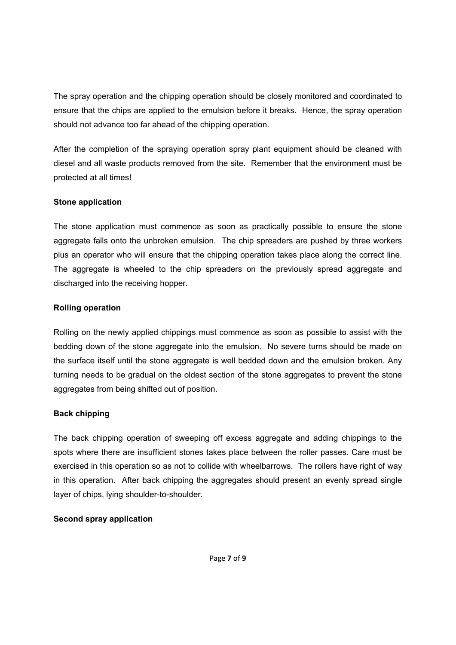The spray operation and the chipping operation should be closely monitored and coordinated to ensure that the chips are applied to the emulsion before it breaks. Hence, the spray operation should not advance too far ahead of the chipping operation.

After the completion of the spraying operation spray plant equipment should be cleaned with diesel and all waste products removed from the site. Remember that the environment must be protected at all times!

#### **Stone application**

The stone application must commence as soon as practically possible to ensure the stone aggregate falls onto the unbroken emulsion. The chip spreaders are pushed by three workers plus an operator who will ensure that the chipping operation takes place along the correct line. The aggregate is wheeled to the chip spreaders on the previously spread aggregate and discharged into the receiving hopper.

#### **Rolling operation**

Rolling on the newly applied chippings must commence as soon as possible to assist with the bedding down of the stone aggregate into the emulsion. No severe turns should be made on the surface itself until the stone aggregate is well bedded down and the emulsion broken. Any turning needs to be gradual on the oldest section of the stone aggregates to prevent the stone aggregates from being shifted out of position.

# **Back chipping**

The back chipping operation of sweeping off excess aggregate and adding chippings to the spots where there are insufficient stones takes place between the roller passes. Care must be exercised in this operation so as not to collide with wheelbarrows. The rollers have right of way in this operation. After back chipping the aggregates should present an evenly spread single layer of chips, lying shoulder-to-shoulder.

# **Second spray application**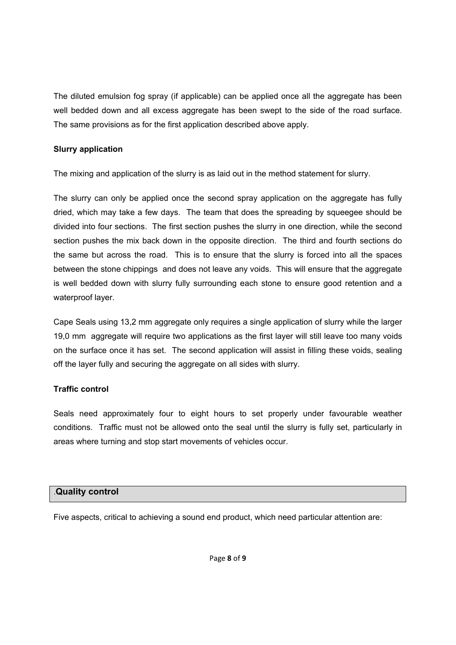The diluted emulsion fog spray (if applicable) can be applied once all the aggregate has been well bedded down and all excess aggregate has been swept to the side of the road surface. The same provisions as for the first application described above apply.

## **Slurry application**

The mixing and application of the slurry is as laid out in the method statement for slurry.

The slurry can only be applied once the second spray application on the aggregate has fully dried, which may take a few days. The team that does the spreading by squeegee should be divided into four sections. The first section pushes the slurry in one direction, while the second section pushes the mix back down in the opposite direction. The third and fourth sections do the same but across the road. This is to ensure that the slurry is forced into all the spaces between the stone chippings and does not leave any voids. This will ensure that the aggregate is well bedded down with slurry fully surrounding each stone to ensure good retention and a waterproof layer.

Cape Seals using 13,2 mm aggregate only requires a single application of slurry while the larger 19,0 mm aggregate will require two applications as the first layer will still leave too many voids on the surface once it has set. The second application will assist in filling these voids, sealing off the layer fully and securing the aggregate on all sides with slurry.

# **Traffic control**

Seals need approximately four to eight hours to set properly under favourable weather conditions. Traffic must not be allowed onto the seal until the slurry is fully set, particularly in areas where turning and stop start movements of vehicles occur.

# .**Quality control**

Five aspects, critical to achieving a sound end product, which need particular attention are: